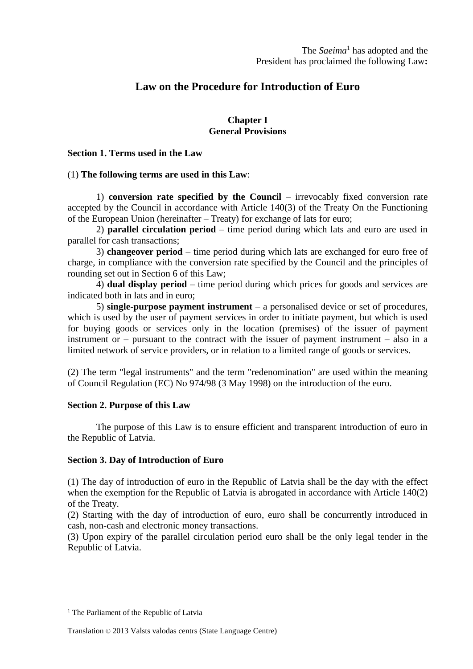# **Law on the Procedure for Introduction of Euro**

## **Chapter I General Provisions**

#### **Section 1. Terms used in the Law**

### (1) **The following terms are used in this Law**:

1) **conversion rate specified by the Council** – irrevocably fixed conversion rate accepted by the Council in accordance with Article 140(3) of the Treaty On the Functioning of the European Union (hereinafter – Treaty) for exchange of lats for euro;

2) **parallel circulation period** – time period during which lats and euro are used in parallel for cash transactions;

3) **changeover period** – time period during which lats are exchanged for euro free of charge, in compliance with the conversion rate specified by the Council and the principles of rounding set out in Section 6 of this Law;

4) **dual display period** – time period during which prices for goods and services are indicated both in lats and in euro;

5) **single-purpose payment instrument** – a personalised device or set of procedures, which is used by the user of payment services in order to initiate payment, but which is used for buying goods or services only in the location (premises) of the issuer of payment instrument or – pursuant to the contract with the issuer of payment instrument – also in a limited network of service providers, or in relation to a limited range of goods or services.

(2) The term "legal instruments" and the term "redenomination" are used within the meaning of Council Regulation (EC) No 974/98 (3 May 1998) on the introduction of the euro.

### **Section 2. Purpose of this Law**

The purpose of this Law is to ensure efficient and transparent introduction of euro in the Republic of Latvia.

### **Section 3. Day of Introduction of Euro**

(1) The day of introduction of euro in the Republic of Latvia shall be the day with the effect when the exemption for the Republic of Latvia is abrogated in accordance with Article 140(2) of the Treaty.

(2) Starting with the day of introduction of euro, euro shall be concurrently introduced in cash, non-cash and electronic money transactions.

(3) Upon expiry of the parallel circulation period euro shall be the only legal tender in the Republic of Latvia.

<sup>&</sup>lt;sup>1</sup> The Parliament of the Republic of Latvia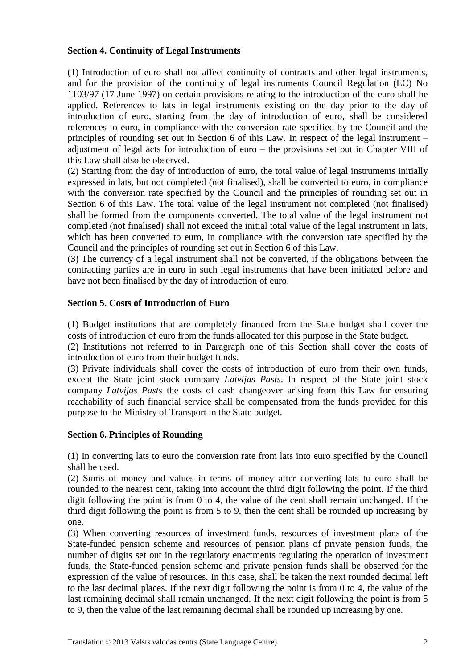### **Section 4. Continuity of Legal Instruments**

(1) Introduction of euro shall not affect continuity of contracts and other legal instruments, and for the provision of the continuity of legal instruments Council Regulation (EC) No 1103/97 (17 June 1997) on certain provisions relating to the introduction of the euro shall be applied. References to lats in legal instruments existing on the day prior to the day of introduction of euro, starting from the day of introduction of euro, shall be considered references to euro, in compliance with the conversion rate specified by the Council and the principles of rounding set out in Section 6 of this Law. In respect of the legal instrument – adjustment of legal acts for introduction of euro – the provisions set out in Chapter VIII of this Law shall also be observed.

(2) Starting from the day of introduction of euro, the total value of legal instruments initially expressed in lats, but not completed (not finalised), shall be converted to euro, in compliance with the conversion rate specified by the Council and the principles of rounding set out in Section 6 of this Law. The total value of the legal instrument not completed (not finalised) shall be formed from the components converted. The total value of the legal instrument not completed (not finalised) shall not exceed the initial total value of the legal instrument in lats, which has been converted to euro, in compliance with the conversion rate specified by the Council and the principles of rounding set out in Section 6 of this Law.

(3) The currency of a legal instrument shall not be converted, if the obligations between the contracting parties are in euro in such legal instruments that have been initiated before and have not been finalised by the day of introduction of euro.

## **Section 5. Costs of Introduction of Euro**

(1) Budget institutions that are completely financed from the State budget shall cover the costs of introduction of euro from the funds allocated for this purpose in the State budget.

(2) Institutions not referred to in Paragraph one of this Section shall cover the costs of introduction of euro from their budget funds.

(3) Private individuals shall cover the costs of introduction of euro from their own funds, except the State joint stock company *Latvijas Pasts*. In respect of the State joint stock company *Latvijas Pasts* the costs of cash changeover arising from this Law for ensuring reachability of such financial service shall be compensated from the funds provided for this purpose to the Ministry of Transport in the State budget.

### **Section 6. Principles of Rounding**

(1) In converting lats to euro the conversion rate from lats into euro specified by the Council shall be used.

(2) Sums of money and values in terms of money after converting lats to euro shall be rounded to the nearest cent, taking into account the third digit following the point. If the third digit following the point is from 0 to 4, the value of the cent shall remain unchanged. If the third digit following the point is from 5 to 9, then the cent shall be rounded up increasing by one.

(3) When converting resources of investment funds, resources of investment plans of the State-funded pension scheme and resources of pension plans of private pension funds, the number of digits set out in the regulatory enactments regulating the operation of investment funds, the State-funded pension scheme and private pension funds shall be observed for the expression of the value of resources. In this case, shall be taken the next rounded decimal left to the last decimal places. If the next digit following the point is from 0 to 4, the value of the last remaining decimal shall remain unchanged. If the next digit following the point is from 5 to 9, then the value of the last remaining decimal shall be rounded up increasing by one.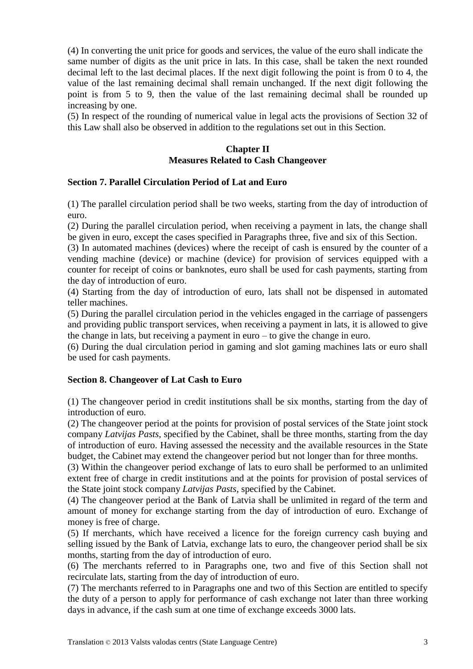(4) In converting the unit price for goods and services, the value of the euro shall indicate the same number of digits as the unit price in lats. In this case, shall be taken the next rounded decimal left to the last decimal places. If the next digit following the point is from 0 to 4, the value of the last remaining decimal shall remain unchanged. If the next digit following the point is from 5 to 9, then the value of the last remaining decimal shall be rounded up increasing by one.

(5) In respect of the rounding of numerical value in legal acts the provisions of Section 32 of this Law shall also be observed in addition to the regulations set out in this Section.

## **Chapter II Measures Related to Cash Changeover**

## **Section 7. Parallel Circulation Period of Lat and Euro**

(1) The parallel circulation period shall be two weeks, starting from the day of introduction of euro.

(2) During the parallel circulation period, when receiving a payment in lats, the change shall be given in euro, except the cases specified in Paragraphs three, five and six of this Section.

(3) In automated machines (devices) where the receipt of cash is ensured by the counter of a vending machine (device) or machine (device) for provision of services equipped with a counter for receipt of coins or banknotes, euro shall be used for cash payments, starting from the day of introduction of euro.

(4) Starting from the day of introduction of euro, lats shall not be dispensed in automated teller machines.

(5) During the parallel circulation period in the vehicles engaged in the carriage of passengers and providing public transport services, when receiving a payment in lats, it is allowed to give the change in lats, but receiving a payment in euro – to give the change in euro.

(6) During the dual circulation period in gaming and slot gaming machines lats or euro shall be used for cash payments.

### **Section 8. Changeover of Lat Cash to Euro**

(1) The changeover period in credit institutions shall be six months, starting from the day of introduction of euro.

(2) The changeover period at the points for provision of postal services of the State joint stock company *Latvijas Pasts*, specified by the Cabinet, shall be three months, starting from the day of introduction of euro. Having assessed the necessity and the available resources in the State budget, the Cabinet may extend the changeover period but not longer than for three months.

(3) Within the changeover period exchange of lats to euro shall be performed to an unlimited extent free of charge in credit institutions and at the points for provision of postal services of the State joint stock company *Latvijas Pasts*, specified by the Cabinet.

(4) The changeover period at the Bank of Latvia shall be unlimited in regard of the term and amount of money for exchange starting from the day of introduction of euro. Exchange of money is free of charge.

(5) If merchants, which have received a licence for the foreign currency cash buying and selling issued by the Bank of Latvia, exchange lats to euro, the changeover period shall be six months, starting from the day of introduction of euro.

(6) The merchants referred to in Paragraphs one, two and five of this Section shall not recirculate lats, starting from the day of introduction of euro.

(7) The merchants referred to in Paragraphs one and two of this Section are entitled to specify the duty of a person to apply for performance of cash exchange not later than three working days in advance, if the cash sum at one time of exchange exceeds 3000 lats.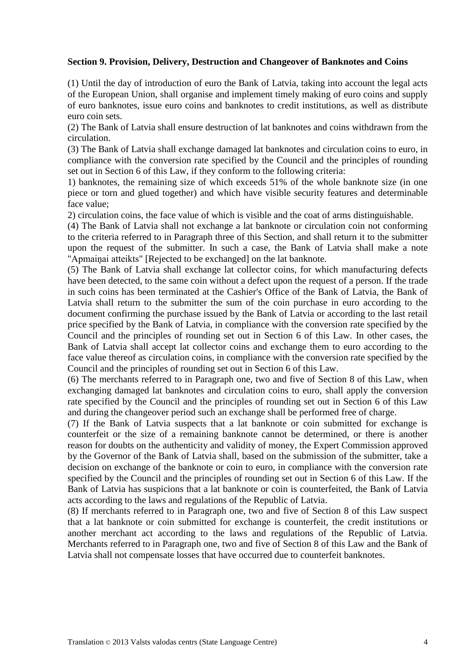### **Section 9. Provision, Delivery, Destruction and Changeover of Banknotes and Coins**

(1) Until the day of introduction of euro the Bank of Latvia, taking into account the legal acts of the European Union, shall organise and implement timely making of euro coins and supply of euro banknotes, issue euro coins and banknotes to credit institutions, as well as distribute euro coin sets.

(2) The Bank of Latvia shall ensure destruction of lat banknotes and coins withdrawn from the circulation.

(3) The Bank of Latvia shall exchange damaged lat banknotes and circulation coins to euro, in compliance with the conversion rate specified by the Council and the principles of rounding set out in Section 6 of this Law, if they conform to the following criteria:

1) banknotes, the remaining size of which exceeds 51% of the whole banknote size (in one piece or torn and glued together) and which have visible security features and determinable face value;

2) circulation coins, the face value of which is visible and the coat of arms distinguishable.

(4) The Bank of Latvia shall not exchange a lat banknote or circulation coin not conforming to the criteria referred to in Paragraph three of this Section, and shall return it to the submitter upon the request of the submitter. In such a case, the Bank of Latvia shall make a note "Apmaiņai atteikts" [Rejected to be exchanged] on the lat banknote.

(5) The Bank of Latvia shall exchange lat collector coins, for which manufacturing defects have been detected, to the same coin without a defect upon the request of a person. If the trade in such coins has been terminated at the Cashier's Office of the Bank of Latvia, the Bank of Latvia shall return to the submitter the sum of the coin purchase in euro according to the document confirming the purchase issued by the Bank of Latvia or according to the last retail price specified by the Bank of Latvia, in compliance with the conversion rate specified by the Council and the principles of rounding set out in Section 6 of this Law. In other cases, the Bank of Latvia shall accept lat collector coins and exchange them to euro according to the face value thereof as circulation coins, in compliance with the conversion rate specified by the Council and the principles of rounding set out in Section 6 of this Law.

(6) The merchants referred to in Paragraph one, two and five of Section 8 of this Law, when exchanging damaged lat banknotes and circulation coins to euro, shall apply the conversion rate specified by the Council and the principles of rounding set out in Section 6 of this Law and during the changeover period such an exchange shall be performed free of charge.

(7) If the Bank of Latvia suspects that a lat banknote or coin submitted for exchange is counterfeit or the size of a remaining banknote cannot be determined, or there is another reason for doubts on the authenticity and validity of money, the Expert Commission approved by the Governor of the Bank of Latvia shall, based on the submission of the submitter, take a decision on exchange of the banknote or coin to euro, in compliance with the conversion rate specified by the Council and the principles of rounding set out in Section 6 of this Law. If the Bank of Latvia has suspicions that a lat banknote or coin is counterfeited, the Bank of Latvia acts according to the laws and regulations of the Republic of Latvia.

(8) If merchants referred to in Paragraph one, two and five of Section 8 of this Law suspect that a lat banknote or coin submitted for exchange is counterfeit, the credit institutions or another merchant act according to the laws and regulations of the Republic of Latvia. Merchants referred to in Paragraph one, two and five of Section 8 of this Law and the Bank of Latvia shall not compensate losses that have occurred due to counterfeit banknotes.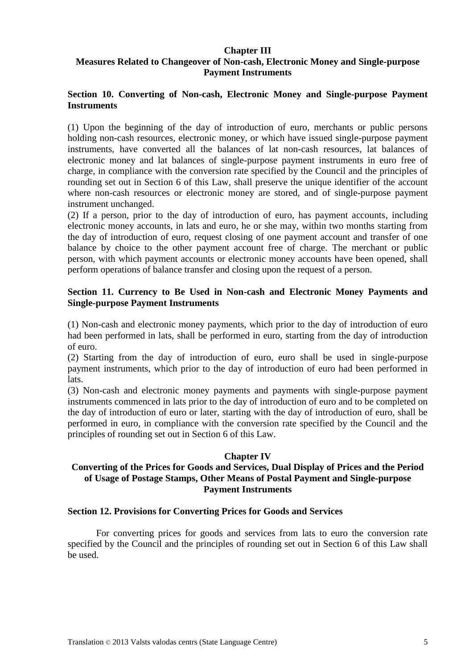### **Chapter III**

## **Measures Related to Changeover of Non-cash, Electronic Money and Single-purpose Payment Instruments**

## **Section 10. Converting of Non-cash, Electronic Money and Single-purpose Payment Instruments**

(1) Upon the beginning of the day of introduction of euro, merchants or public persons holding non-cash resources, electronic money, or which have issued single-purpose payment instruments, have converted all the balances of lat non-cash resources, lat balances of electronic money and lat balances of single-purpose payment instruments in euro free of charge, in compliance with the conversion rate specified by the Council and the principles of rounding set out in Section 6 of this Law, shall preserve the unique identifier of the account where non-cash resources or electronic money are stored, and of single-purpose payment instrument unchanged.

(2) If a person, prior to the day of introduction of euro, has payment accounts, including electronic money accounts, in lats and euro, he or she may, within two months starting from the day of introduction of euro, request closing of one payment account and transfer of one balance by choice to the other payment account free of charge. The merchant or public person, with which payment accounts or electronic money accounts have been opened, shall perform operations of balance transfer and closing upon the request of a person.

## **Section 11. Currency to Be Used in Non-cash and Electronic Money Payments and Single-purpose Payment Instruments**

(1) Non-cash and electronic money payments, which prior to the day of introduction of euro had been performed in lats, shall be performed in euro, starting from the day of introduction of euro.

(2) Starting from the day of introduction of euro, euro shall be used in single-purpose payment instruments, which prior to the day of introduction of euro had been performed in lats.

(3) Non-cash and electronic money payments and payments with single-purpose payment instruments commenced in lats prior to the day of introduction of euro and to be completed on the day of introduction of euro or later, starting with the day of introduction of euro, shall be performed in euro, in compliance with the conversion rate specified by the Council and the principles of rounding set out in Section 6 of this Law.

### **Chapter IV**

## **Converting of the Prices for Goods and Services, Dual Display of Prices and the Period of Usage of Postage Stamps, Other Means of Postal Payment and Single-purpose Payment Instruments**

## **Section 12. Provisions for Converting Prices for Goods and Services**

For converting prices for goods and services from lats to euro the conversion rate specified by the Council and the principles of rounding set out in Section 6 of this Law shall be used.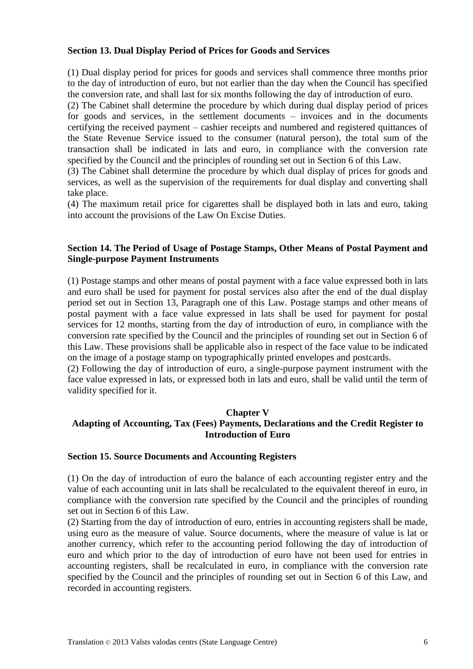### **Section 13. Dual Display Period of Prices for Goods and Services**

(1) Dual display period for prices for goods and services shall commence three months prior to the day of introduction of euro, but not earlier than the day when the Council has specified the conversion rate, and shall last for six months following the day of introduction of euro.

(2) The Cabinet shall determine the procedure by which during dual display period of prices for goods and services, in the settlement documents – invoices and in the documents certifying the received payment – cashier receipts and numbered and registered quittances of the State Revenue Service issued to the consumer (natural person), the total sum of the transaction shall be indicated in lats and euro, in compliance with the conversion rate specified by the Council and the principles of rounding set out in Section 6 of this Law.

(3) The Cabinet shall determine the procedure by which dual display of prices for goods and services, as well as the supervision of the requirements for dual display and converting shall take place.

(4) The maximum retail price for cigarettes shall be displayed both in lats and euro, taking into account the provisions of the Law On Excise Duties.

## **Section 14. The Period of Usage of Postage Stamps, Other Means of Postal Payment and Single-purpose Payment Instruments**

(1) Postage stamps and other means of postal payment with a face value expressed both in lats and euro shall be used for payment for postal services also after the end of the dual display period set out in Section 13, Paragraph one of this Law. Postage stamps and other means of postal payment with a face value expressed in lats shall be used for payment for postal services for 12 months, starting from the day of introduction of euro, in compliance with the conversion rate specified by the Council and the principles of rounding set out in Section 6 of this Law. These provisions shall be applicable also in respect of the face value to be indicated on the image of a postage stamp on typographically printed envelopes and postcards.

(2) Following the day of introduction of euro, a single-purpose payment instrument with the face value expressed in lats, or expressed both in lats and euro, shall be valid until the term of validity specified for it.

#### **Chapter V**

# **Adapting of Accounting, Tax (Fees) Payments, Declarations and the Credit Register to Introduction of Euro**

#### **Section 15. Source Documents and Accounting Registers**

(1) On the day of introduction of euro the balance of each accounting register entry and the value of each accounting unit in lats shall be recalculated to the equivalent thereof in euro, in compliance with the conversion rate specified by the Council and the principles of rounding set out in Section 6 of this Law.

(2) Starting from the day of introduction of euro, entries in accounting registers shall be made, using euro as the measure of value. Source documents, where the measure of value is lat or another currency, which refer to the accounting period following the day of introduction of euro and which prior to the day of introduction of euro have not been used for entries in accounting registers, shall be recalculated in euro, in compliance with the conversion rate specified by the Council and the principles of rounding set out in Section 6 of this Law, and recorded in accounting registers.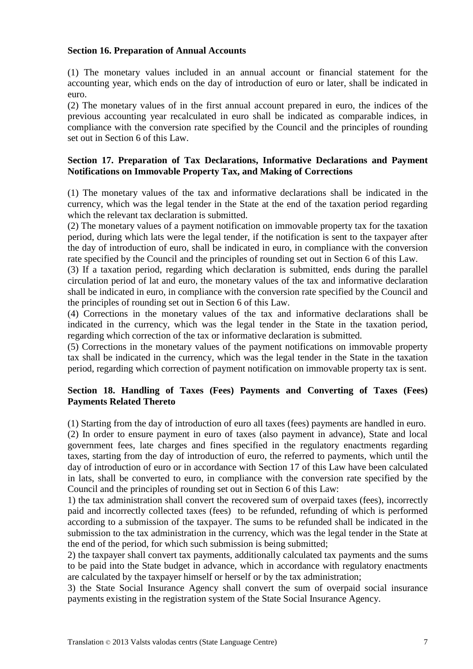### **Section 16. Preparation of Annual Accounts**

(1) The monetary values included in an annual account or financial statement for the accounting year, which ends on the day of introduction of euro or later, shall be indicated in euro.

(2) The monetary values of in the first annual account prepared in euro, the indices of the previous accounting year recalculated in euro shall be indicated as comparable indices, in compliance with the conversion rate specified by the Council and the principles of rounding set out in Section 6 of this Law.

## **Section 17. Preparation of Tax Declarations, Informative Declarations and Payment Notifications on Immovable Property Tax, and Making of Corrections**

(1) The monetary values of the tax and informative declarations shall be indicated in the currency, which was the legal tender in the State at the end of the taxation period regarding which the relevant tax declaration is submitted.

(2) The monetary values of a payment notification on immovable property tax for the taxation period, during which lats were the legal tender, if the notification is sent to the taxpayer after the day of introduction of euro, shall be indicated in euro, in compliance with the conversion rate specified by the Council and the principles of rounding set out in Section 6 of this Law.

(3) If a taxation period, regarding which declaration is submitted, ends during the parallel circulation period of lat and euro, the monetary values of the tax and informative declaration shall be indicated in euro, in compliance with the conversion rate specified by the Council and the principles of rounding set out in Section 6 of this Law.

(4) Corrections in the monetary values of the tax and informative declarations shall be indicated in the currency, which was the legal tender in the State in the taxation period, regarding which correction of the tax or informative declaration is submitted.

(5) Corrections in the monetary values of the payment notifications on immovable property tax shall be indicated in the currency, which was the legal tender in the State in the taxation period, regarding which correction of payment notification on immovable property tax is sent.

## **Section 18. Handling of Taxes (Fees) Payments and Converting of Taxes (Fees) Payments Related Thereto**

(1) Starting from the day of introduction of euro all taxes (fees) payments are handled in euro. (2) In order to ensure payment in euro of taxes (also payment in advance), State and local government fees, late charges and fines specified in the regulatory enactments regarding taxes, starting from the day of introduction of euro, the referred to payments, which until the day of introduction of euro or in accordance with Section 17 of this Law have been calculated in lats, shall be converted to euro, in compliance with the conversion rate specified by the Council and the principles of rounding set out in Section 6 of this Law:

1) the tax administration shall convert the recovered sum of overpaid taxes (fees), incorrectly paid and incorrectly collected taxes (fees) to be refunded, refunding of which is performed according to a submission of the taxpayer. The sums to be refunded shall be indicated in the submission to the tax administration in the currency, which was the legal tender in the State at the end of the period, for which such submission is being submitted;

2) the taxpayer shall convert tax payments, additionally calculated tax payments and the sums to be paid into the State budget in advance, which in accordance with regulatory enactments are calculated by the taxpayer himself or herself or by the tax administration;

3) the State Social Insurance Agency shall convert the sum of overpaid social insurance payments existing in the registration system of the State Social Insurance Agency.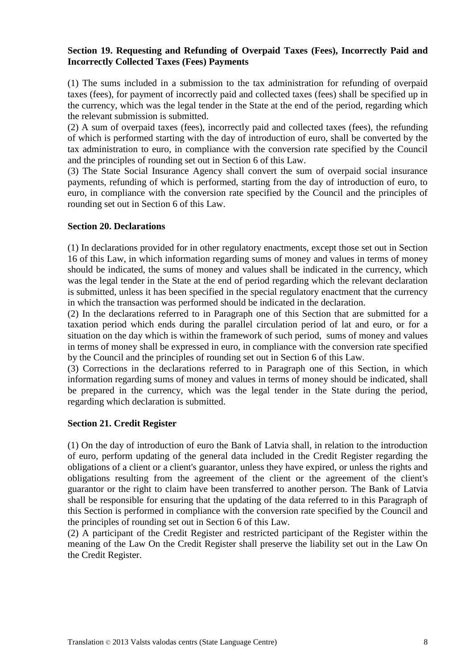## **Section 19. Requesting and Refunding of Overpaid Taxes (Fees), Incorrectly Paid and Incorrectly Collected Taxes (Fees) Payments**

(1) The sums included in a submission to the tax administration for refunding of overpaid taxes (fees), for payment of incorrectly paid and collected taxes (fees) shall be specified up in the currency, which was the legal tender in the State at the end of the period, regarding which the relevant submission is submitted.

(2) A sum of overpaid taxes (fees), incorrectly paid and collected taxes (fees), the refunding of which is performed starting with the day of introduction of euro, shall be converted by the tax administration to euro, in compliance with the conversion rate specified by the Council and the principles of rounding set out in Section 6 of this Law.

(3) The State Social Insurance Agency shall convert the sum of overpaid social insurance payments, refunding of which is performed, starting from the day of introduction of euro, to euro, in compliance with the conversion rate specified by the Council and the principles of rounding set out in Section 6 of this Law.

### **Section 20. Declarations**

(1) In declarations provided for in other regulatory enactments, except those set out in Section 16 of this Law, in which information regarding sums of money and values in terms of money should be indicated, the sums of money and values shall be indicated in the currency, which was the legal tender in the State at the end of period regarding which the relevant declaration is submitted, unless it has been specified in the special regulatory enactment that the currency in which the transaction was performed should be indicated in the declaration.

(2) In the declarations referred to in Paragraph one of this Section that are submitted for a taxation period which ends during the parallel circulation period of lat and euro, or for a situation on the day which is within the framework of such period, sums of money and values in terms of money shall be expressed in euro, in compliance with the conversion rate specified by the Council and the principles of rounding set out in Section 6 of this Law.

(3) Corrections in the declarations referred to in Paragraph one of this Section, in which information regarding sums of money and values in terms of money should be indicated, shall be prepared in the currency, which was the legal tender in the State during the period, regarding which declaration is submitted.

## **Section 21. Credit Register**

(1) On the day of introduction of euro the Bank of Latvia shall, in relation to the introduction of euro, perform updating of the general data included in the Credit Register regarding the obligations of a client or a client's guarantor, unless they have expired, or unless the rights and obligations resulting from the agreement of the client or the agreement of the client's guarantor or the right to claim have been transferred to another person. The Bank of Latvia shall be responsible for ensuring that the updating of the data referred to in this Paragraph of this Section is performed in compliance with the conversion rate specified by the Council and the principles of rounding set out in Section 6 of this Law.

(2) A participant of the Credit Register and restricted participant of the Register within the meaning of the Law On the Credit Register shall preserve the liability set out in the Law On the Credit Register.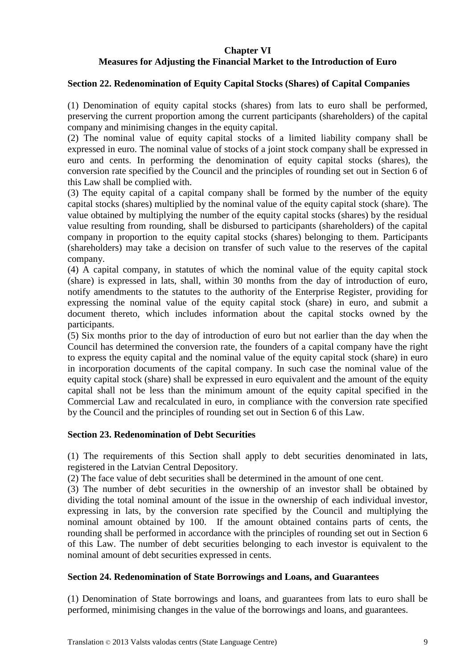## **Chapter VI Measures for Adjusting the Financial Market to the Introduction of Euro**

## **Section 22. Redenomination of Equity Capital Stocks (Shares) of Capital Companies**

(1) Denomination of equity capital stocks (shares) from lats to euro shall be performed, preserving the current proportion among the current participants (shareholders) of the capital company and minimising changes in the equity capital.

(2) The nominal value of equity capital stocks of a limited liability company shall be expressed in euro. The nominal value of stocks of a joint stock company shall be expressed in euro and cents. In performing the denomination of equity capital stocks (shares), the conversion rate specified by the Council and the principles of rounding set out in Section 6 of this Law shall be complied with.

(3) The equity capital of a capital company shall be formed by the number of the equity capital stocks (shares) multiplied by the nominal value of the equity capital stock (share). The value obtained by multiplying the number of the equity capital stocks (shares) by the residual value resulting from rounding, shall be disbursed to participants (shareholders) of the capital company in proportion to the equity capital stocks (shares) belonging to them. Participants (shareholders) may take a decision on transfer of such value to the reserves of the capital company.

(4) A capital company, in statutes of which the nominal value of the equity capital stock (share) is expressed in lats, shall, within 30 months from the day of introduction of euro, notify amendments to the statutes to the authority of the Enterprise Register, providing for expressing the nominal value of the equity capital stock (share) in euro, and submit a document thereto, which includes information about the capital stocks owned by the participants.

(5) Six months prior to the day of introduction of euro but not earlier than the day when the Council has determined the conversion rate, the founders of a capital company have the right to express the equity capital and the nominal value of the equity capital stock (share) in euro in incorporation documents of the capital company. In such case the nominal value of the equity capital stock (share) shall be expressed in euro equivalent and the amount of the equity capital shall not be less than the minimum amount of the equity capital specified in the Commercial Law and recalculated in euro, in compliance with the conversion rate specified by the Council and the principles of rounding set out in Section 6 of this Law.

### **Section 23. Redenomination of Debt Securities**

(1) The requirements of this Section shall apply to debt securities denominated in lats, registered in the Latvian Central Depository.

(2) The face value of debt securities shall be determined in the amount of one cent.

(3) The number of debt securities in the ownership of an investor shall be obtained by dividing the total nominal amount of the issue in the ownership of each individual investor, expressing in lats, by the conversion rate specified by the Council and multiplying the nominal amount obtained by 100. If the amount obtained contains parts of cents, the rounding shall be performed in accordance with the principles of rounding set out in Section 6 of this Law. The number of debt securities belonging to each investor is equivalent to the nominal amount of debt securities expressed in cents.

### **Section 24. Redenomination of State Borrowings and Loans, and Guarantees**

(1) Denomination of State borrowings and loans, and guarantees from lats to euro shall be performed, minimising changes in the value of the borrowings and loans, and guarantees.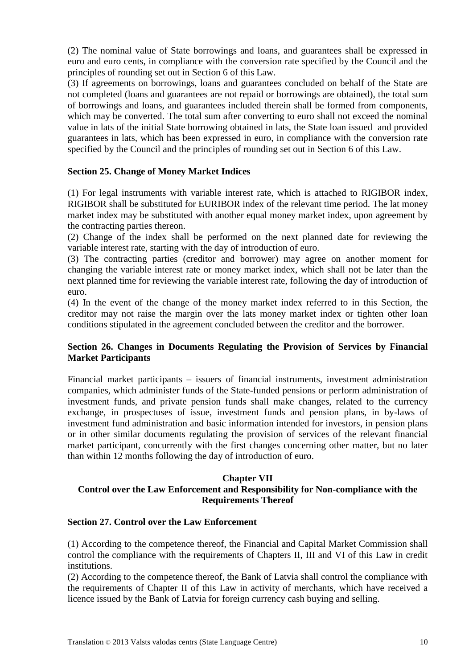(2) The nominal value of State borrowings and loans, and guarantees shall be expressed in euro and euro cents, in compliance with the conversion rate specified by the Council and the principles of rounding set out in Section 6 of this Law.

(3) If agreements on borrowings, loans and guarantees concluded on behalf of the State are not completed (loans and guarantees are not repaid or borrowings are obtained), the total sum of borrowings and loans, and guarantees included therein shall be formed from components, which may be converted. The total sum after converting to euro shall not exceed the nominal value in lats of the initial State borrowing obtained in lats, the State loan issued and provided guarantees in lats, which has been expressed in euro, in compliance with the conversion rate specified by the Council and the principles of rounding set out in Section 6 of this Law.

## **Section 25. Change of Money Market Indices**

(1) For legal instruments with variable interest rate, which is attached to RIGIBOR index, RIGIBOR shall be substituted for EURIBOR index of the relevant time period. The lat money market index may be substituted with another equal money market index, upon agreement by the contracting parties thereon.

(2) Change of the index shall be performed on the next planned date for reviewing the variable interest rate, starting with the day of introduction of euro.

(3) The contracting parties (creditor and borrower) may agree on another moment for changing the variable interest rate or money market index, which shall not be later than the next planned time for reviewing the variable interest rate, following the day of introduction of euro.

(4) In the event of the change of the money market index referred to in this Section, the creditor may not raise the margin over the lats money market index or tighten other loan conditions stipulated in the agreement concluded between the creditor and the borrower.

## **Section 26. Changes in Documents Regulating the Provision of Services by Financial Market Participants**

Financial market participants – issuers of financial instruments, investment administration companies, which administer funds of the State-funded pensions or perform administration of investment funds, and private pension funds shall make changes, related to the currency exchange, in prospectuses of issue, investment funds and pension plans, in by-laws of investment fund administration and basic information intended for investors, in pension plans or in other similar documents regulating the provision of services of the relevant financial market participant, concurrently with the first changes concerning other matter, but no later than within 12 months following the day of introduction of euro.

## **Chapter VII**

# **Control over the Law Enforcement and Responsibility for Non-compliance with the Requirements Thereof**

### **Section 27. Control over the Law Enforcement**

(1) According to the competence thereof, the Financial and Capital Market Commission shall control the compliance with the requirements of Chapters II, III and VI of this Law in credit institutions.

(2) According to the competence thereof, the Bank of Latvia shall control the compliance with the requirements of Chapter II of this Law in activity of merchants, which have received a licence issued by the Bank of Latvia for foreign currency cash buying and selling.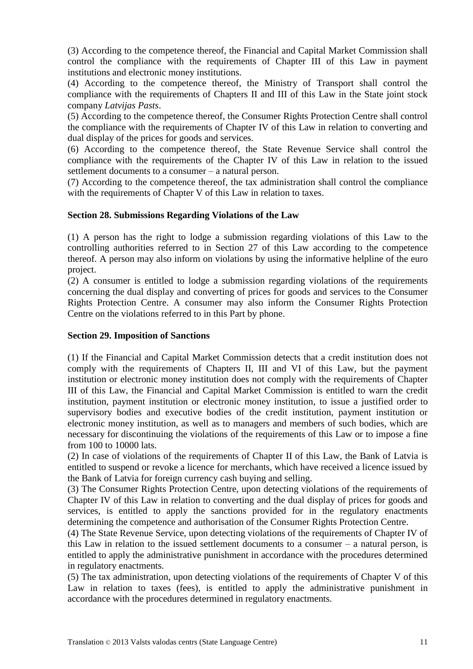(3) According to the competence thereof, the Financial and Capital Market Commission shall control the compliance with the requirements of Chapter III of this Law in payment institutions and electronic money institutions.

(4) According to the competence thereof, the Ministry of Transport shall control the compliance with the requirements of Chapters II and III of this Law in the State joint stock company *Latvijas Pasts*.

(5) According to the competence thereof, the Consumer Rights Protection Centre shall control the compliance with the requirements of Chapter IV of this Law in relation to converting and dual display of the prices for goods and services.

(6) According to the competence thereof, the State Revenue Service shall control the compliance with the requirements of the Chapter IV of this Law in relation to the issued settlement documents to a consumer – a natural person.

(7) According to the competence thereof, the tax administration shall control the compliance with the requirements of Chapter V of this Law in relation to taxes.

## **Section 28. Submissions Regarding Violations of the Law**

(1) A person has the right to lodge a submission regarding violations of this Law to the controlling authorities referred to in Section 27 of this Law according to the competence thereof. A person may also inform on violations by using the informative helpline of the euro project.

(2) A consumer is entitled to lodge a submission regarding violations of the requirements concerning the dual display and converting of prices for goods and services to the Consumer Rights Protection Centre. A consumer may also inform the Consumer Rights Protection Centre on the violations referred to in this Part by phone.

### **Section 29. Imposition of Sanctions**

(1) If the Financial and Capital Market Commission detects that a credit institution does not comply with the requirements of Chapters II, III and VI of this Law, but the payment institution or electronic money institution does not comply with the requirements of Chapter III of this Law, the Financial and Capital Market Commission is entitled to warn the credit institution, payment institution or electronic money institution, to issue a justified order to supervisory bodies and executive bodies of the credit institution, payment institution or electronic money institution, as well as to managers and members of such bodies, which are necessary for discontinuing the violations of the requirements of this Law or to impose a fine from 100 to 10000 lats.

(2) In case of violations of the requirements of Chapter II of this Law, the Bank of Latvia is entitled to suspend or revoke a licence for merchants, which have received a licence issued by the Bank of Latvia for foreign currency cash buying and selling.

(3) The Consumer Rights Protection Centre, upon detecting violations of the requirements of Chapter IV of this Law in relation to converting and the dual display of prices for goods and services, is entitled to apply the sanctions provided for in the regulatory enactments determining the competence and authorisation of the Consumer Rights Protection Centre.

(4) The State Revenue Service, upon detecting violations of the requirements of Chapter IV of this Law in relation to the issued settlement documents to a consumer – a natural person, is entitled to apply the administrative punishment in accordance with the procedures determined in regulatory enactments.

(5) The tax administration, upon detecting violations of the requirements of Chapter V of this Law in relation to taxes (fees), is entitled to apply the administrative punishment in accordance with the procedures determined in regulatory enactments.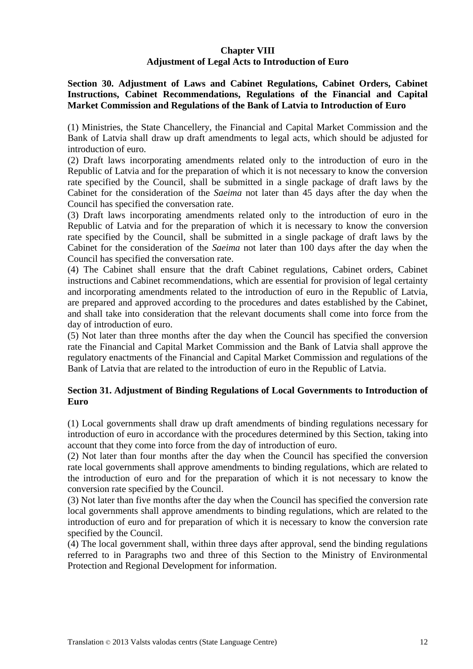## **Chapter VIII Adjustment of Legal Acts to Introduction of Euro**

**Section 30. Adjustment of Laws and Cabinet Regulations, Cabinet Orders, Cabinet Instructions, Cabinet Recommendations, Regulations of the Financial and Capital Market Commission and Regulations of the Bank of Latvia to Introduction of Euro**

(1) Ministries, the State Chancellery, the Financial and Capital Market Commission and the Bank of Latvia shall draw up draft amendments to legal acts, which should be adjusted for introduction of euro.

(2) Draft laws incorporating amendments related only to the introduction of euro in the Republic of Latvia and for the preparation of which it is not necessary to know the conversion rate specified by the Council, shall be submitted in a single package of draft laws by the Cabinet for the consideration of the *Saeima* not later than 45 days after the day when the Council has specified the conversation rate.

(3) Draft laws incorporating amendments related only to the introduction of euro in the Republic of Latvia and for the preparation of which it is necessary to know the conversion rate specified by the Council, shall be submitted in a single package of draft laws by the Cabinet for the consideration of the *Saeima* not later than 100 days after the day when the Council has specified the conversation rate.

(4) The Cabinet shall ensure that the draft Cabinet regulations, Cabinet orders, Cabinet instructions and Cabinet recommendations, which are essential for provision of legal certainty and incorporating amendments related to the introduction of euro in the Republic of Latvia, are prepared and approved according to the procedures and dates established by the Cabinet, and shall take into consideration that the relevant documents shall come into force from the day of introduction of euro.

(5) Not later than three months after the day when the Council has specified the conversion rate the Financial and Capital Market Commission and the Bank of Latvia shall approve the regulatory enactments of the Financial and Capital Market Commission and regulations of the Bank of Latvia that are related to the introduction of euro in the Republic of Latvia.

## **Section 31. Adjustment of Binding Regulations of Local Governments to Introduction of Euro**

(1) Local governments shall draw up draft amendments of binding regulations necessary for introduction of euro in accordance with the procedures determined by this Section, taking into account that they come into force from the day of introduction of euro.

(2) Not later than four months after the day when the Council has specified the conversion rate local governments shall approve amendments to binding regulations, which are related to the introduction of euro and for the preparation of which it is not necessary to know the conversion rate specified by the Council.

(3) Not later than five months after the day when the Council has specified the conversion rate local governments shall approve amendments to binding regulations, which are related to the introduction of euro and for preparation of which it is necessary to know the conversion rate specified by the Council.

(4) The local government shall, within three days after approval, send the binding regulations referred to in Paragraphs two and three of this Section to the Ministry of Environmental Protection and Regional Development for information.